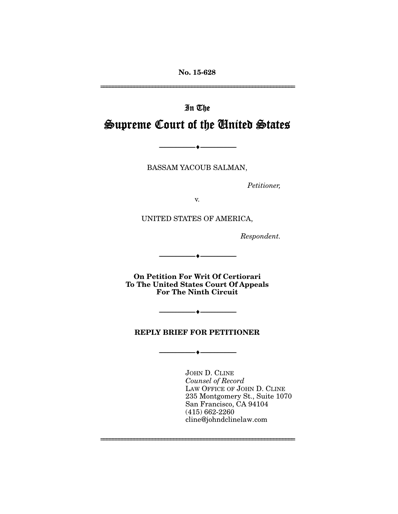**No. 15-628** 

================================================================

# In The Supreme Court of the United States

BASSAM YACOUB SALMAN,

--------------------------------- ---------------------------------

*Petitioner,* 

v.

UNITED STATES OF AMERICA,

*Respondent.* 

**On Petition For Writ Of Certiorari To The United States Court Of Appeals For The Ninth Circuit**

--------------------------------- ---------------------------------

### **REPLY BRIEF FOR PETITIONER**

--------------------------------- ---------------------------------

================================================================

--------------------------------- ---------------------------------

JOHN D. CLINE *Counsel of Record* LAW OFFICE OF JOHN D. CLINE 235 Montgomery St., Suite 1070 San Francisco, CA 94104 (415) 662-2260 cline@johndclinelaw.com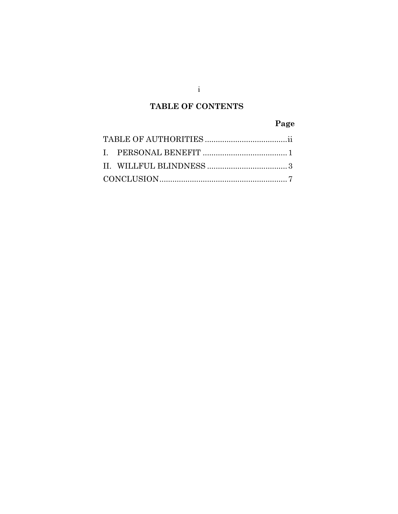## **TABLE OF CONTENTS**

## **Page**

i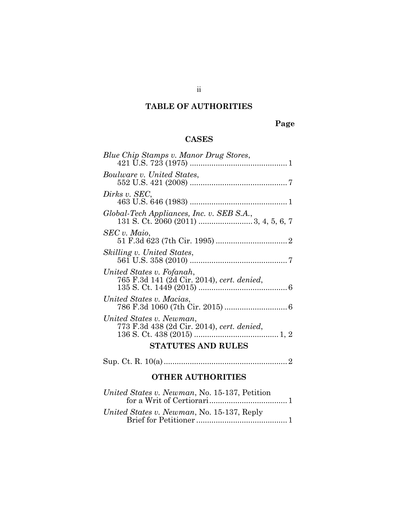## **TABLE OF AUTHORITIES**

## **Page**

### **CASES**

| Blue Chip Stamps v. Manor Drug Stores,                                  |  |  |
|-------------------------------------------------------------------------|--|--|
| Boulware v. United States,                                              |  |  |
| Dirks v. SEC,                                                           |  |  |
| Global-Tech Appliances, Inc. v. SEB S.A.,                               |  |  |
| SEC v. Maio,                                                            |  |  |
| Skilling v. United States,                                              |  |  |
| United States v. Fofanah,<br>765 F.3d 141 (2d Cir. 2014), cert. denied, |  |  |
| United States v. Macias,                                                |  |  |
| United States v. Newman,<br>773 F.3d 438 (2d Cir. 2014), cert. denied,  |  |  |
| <b>STATUTES AND RULES</b>                                               |  |  |
|                                                                         |  |  |

### **OTHER AUTHORITIES**

| United States v. Newman, No. 15-137, Petition |  |
|-----------------------------------------------|--|
| United States v. Newman, No. 15-137, Reply    |  |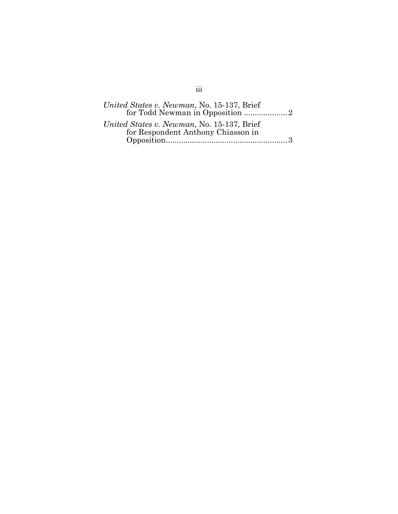| United States v. Newman, No. 15-137, Brief                                       |
|----------------------------------------------------------------------------------|
| for Todd Newman in Opposition 2                                                  |
| United States v. Newman, No. 15-137, Brief<br>for Respondent Anthony Chiasson in |
|                                                                                  |

## iii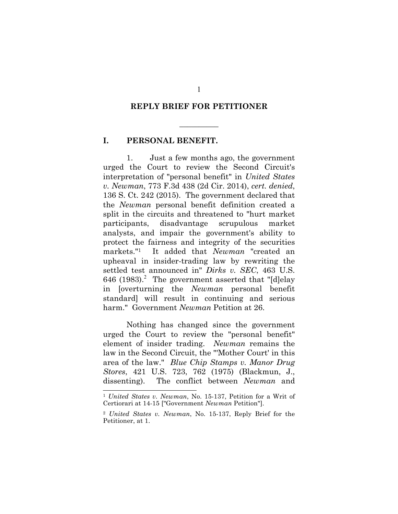#### **REPLY BRIEF FOR PETITIONER**

 $\overline{\phantom{a}}$ 

### **I. PERSONAL BENEFIT.**

1. Just a few months ago, the government urged the Court to review the Second Circuit's interpretation of "personal benefit" in *United States v. Newman*, 773 F.3d 438 (2d Cir. 2014), *cert. denied*, 136 S. Ct. 242 (2015). The government declared that the *Newman* personal benefit definition created a split in the circuits and threatened to "hurt market participants, disadvantage scrupulous market analysts, and impair the government's ability to protect the fairness and integrity of the securities markets."1 It added that *Newman* "created an upheaval in insider-trading law by rewriting the settled test announced in" *Dirks v. SEC*, 463 U.S. 646 (1983).<sup>2</sup> The government asserted that "[d]elay in [overturning the *Newman* personal benefit standard] will result in continuing and serious harm." Government *Newman* Petition at 26.

Nothing has changed since the government urged the Court to review the "personal benefit" element of insider trading. *Newman* remains the law in the Second Circuit, the "'Mother Court' in this area of the law." *Blue Chip Stamps v. Manor Drug Stores*, 421 U.S. 723, 762 (1975) (Blackmun, J., dissenting). The conflict between *Newman* and

1

<sup>1</sup> *United States v. Newman*, No. 15-137, Petition for a Writ of Certiorari at 14-15 ["Government *Newman* Petition"].

<sup>2</sup> *United States v. Newman*, No. 15-137, Reply Brief for the Petitioner, at 1.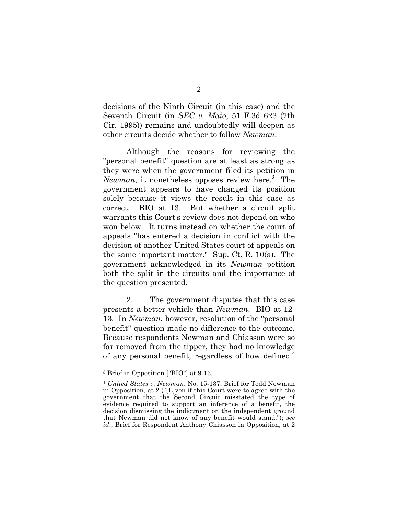decisions of the Ninth Circuit (in this case) and the Seventh Circuit (in *SEC v. Maio*, 51 F.3d 623 (7th Cir. 1995)) remains and undoubtedly will deepen as other circuits decide whether to follow *Newman*.

Although the reasons for reviewing the "personal benefit" question are at least as strong as they were when the government filed its petition in Newman, it nonetheless opposes review here.<sup>3</sup> The government appears to have changed its position solely because it views the result in this case as correct. BIO at 13. But whether a circuit split warrants this Court's review does not depend on who won below. It turns instead on whether the court of appeals "has entered a decision in conflict with the decision of another United States court of appeals on the same important matter." Sup. Ct. R. 10(a). The government acknowledged in its *Newman* petition both the split in the circuits and the importance of the question presented.

2. The government disputes that this case presents a better vehicle than *Newman*. BIO at 12- 13. In *Newman*, however, resolution of the "personal benefit" question made no difference to the outcome. Because respondents Newman and Chiasson were so far removed from the tipper, they had no knowledge of any personal benefit, regardless of how defined.<sup>4</sup>

<sup>3</sup> Brief in Opposition ["BIO"] at 9-13.

<sup>4</sup> *United States v. Newman*, No. 15-137, Brief for Todd Newman in Opposition, at 2 ("[E]ven if this Court were to agree with the government that the Second Circuit misstated the type of evidence required to support an inference of a benefit, the decision dismissing the indictment on the independent ground that Newman did not know of any benefit would stand."); *see id*., Brief for Respondent Anthony Chiasson in Opposition, at 2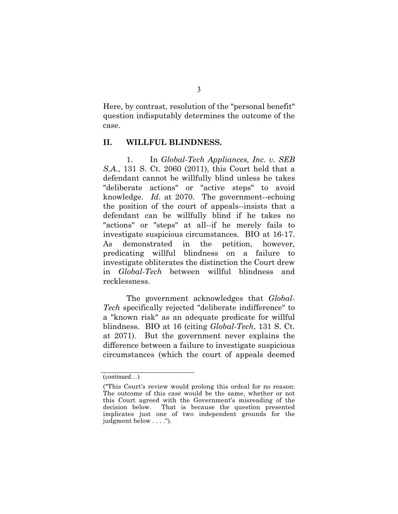Here, by contrast, resolution of the "personal benefit" question indisputably determines the outcome of the case.

### **II. WILLFUL BLINDNESS.**

1. In *Global-Tech Appliances, Inc. v. SEB S.A.*, 131 S. Ct. 2060 (2011), this Court held that a defendant cannot be willfully blind unless he takes "deliberate actions" or "active steps" to avoid knowledge. *Id*. at 2070. The government--echoing the position of the court of appeals--insists that a defendant can be willfully blind if he takes no "actions" or "steps" at all--if he merely fails to investigate suspicious circumstances. BIO at 16-17. As demonstrated in the petition, however, predicating willful blindness on a failure to investigate obliterates the distinction the Court drew in *Global-Tech* between willful blindness and recklessness.

The government acknowledges that *Global-Tech* specifically rejected "deliberate indifference" to a "known risk" as an adequate predicate for willful blindness. BIO at 16 (citing *Global-Tech*, 131 S. Ct. at 2071). But the government never explains the difference between a failure to investigate suspicious circumstances (which the court of appeals deemed

<sup>(</sup>continued…)

<sup>(&</sup>quot;This Court's review would prolong this ordeal for no reason: The outcome of this case would be the same, whether or not this Court agreed with the Government's misreading of the decision below. That is because the question presented implicates just one of two independent grounds for the judgment below . . . .").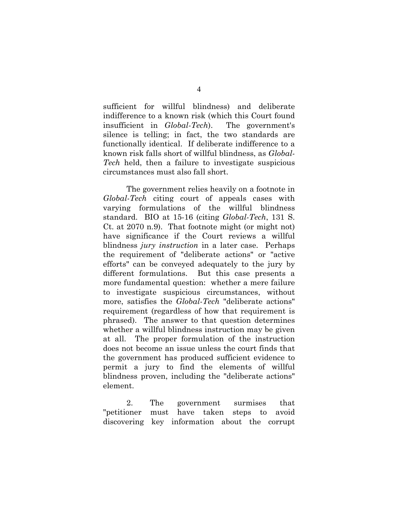sufficient for willful blindness) and deliberate indifference to a known risk (which this Court found insufficient in *Global-Tech*). The government's silence is telling; in fact, the two standards are functionally identical. If deliberate indifference to a known risk falls short of willful blindness, as *Global-Tech* held, then a failure to investigate suspicious circumstances must also fall short.

The government relies heavily on a footnote in *Global-Tech* citing court of appeals cases with varying formulations of the willful blindness standard. BIO at 15-16 (citing *Global-Tech*, 131 S. Ct. at 2070 n.9). That footnote might (or might not) have significance if the Court reviews a willful blindness *jury instruction* in a later case. Perhaps the requirement of "deliberate actions" or "active efforts" can be conveyed adequately to the jury by different formulations. But this case presents a more fundamental question: whether a mere failure to investigate suspicious circumstances, without more, satisfies the *Global-Tech* "deliberate actions" requirement (regardless of how that requirement is phrased). The answer to that question determines whether a willful blindness instruction may be given at all. The proper formulation of the instruction does not become an issue unless the court finds that the government has produced sufficient evidence to permit a jury to find the elements of willful blindness proven, including the "deliberate actions" element.

2. The government surmises that "petitioner must have taken steps to avoid discovering key information about the corrupt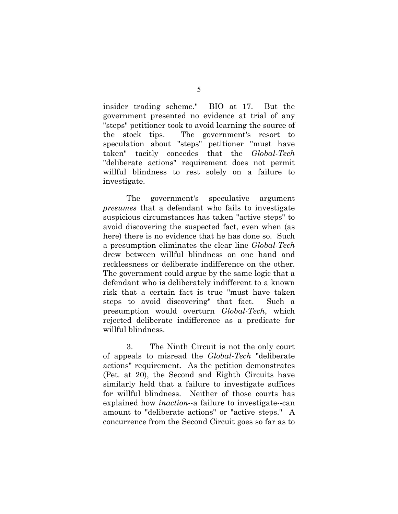insider trading scheme." BIO at 17. But the government presented no evidence at trial of any "steps" petitioner took to avoid learning the source of the stock tips. The government's resort to speculation about "steps" petitioner "must have taken" tacitly concedes that the *Global-Tech* "deliberate actions" requirement does not permit willful blindness to rest solely on a failure to investigate.

The government's speculative argument *presumes* that a defendant who fails to investigate suspicious circumstances has taken "active steps" to avoid discovering the suspected fact, even when (as here) there is no evidence that he has done so. Such a presumption eliminates the clear line *Global-Tech* drew between willful blindness on one hand and recklessness or deliberate indifference on the other. The government could argue by the same logic that a defendant who is deliberately indifferent to a known risk that a certain fact is true "must have taken steps to avoid discovering" that fact. Such a presumption would overturn *Global-Tech*, which rejected deliberate indifference as a predicate for willful blindness.

3. The Ninth Circuit is not the only court of appeals to misread the *Global-Tech* "deliberate actions" requirement. As the petition demonstrates (Pet. at 20), the Second and Eighth Circuits have similarly held that a failure to investigate suffices for willful blindness. Neither of those courts has explained how *inaction*--a failure to investigate--can amount to "deliberate actions" or "active steps." A concurrence from the Second Circuit goes so far as to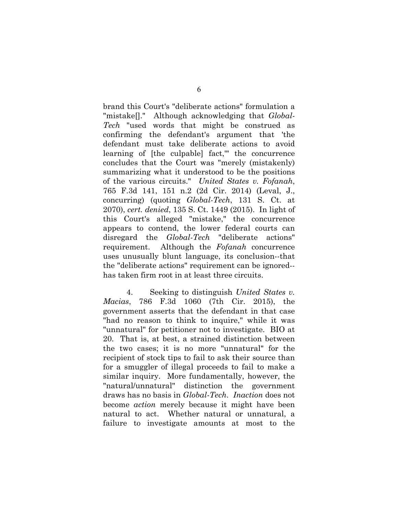brand this Court's "deliberate actions" formulation a "mistake[]." Although acknowledging that *Global-Tech* "used words that might be construed as confirming the defendant's argument that 'the defendant must take deliberate actions to avoid learning of [the culpable] fact,'" the concurrence concludes that the Court was "merely (mistakenly) summarizing what it understood to be the positions of the various circuits." *United States v. Fofanah*, 765 F.3d 141, 151 n.2 (2d Cir. 2014) (Leval, J., concurring) (quoting *Global-Tech*, 131 S. Ct. at 2070), *cert. denied*, 135 S. Ct. 1449 (2015). In light of this Court's alleged "mistake," the concurrence appears to contend, the lower federal courts can disregard the *Global-Tech* "deliberate actions" requirement. Although the *Fofanah* concurrence uses unusually blunt language, its conclusion--that the "deliberate actions" requirement can be ignored- has taken firm root in at least three circuits.

4. Seeking to distinguish *United States v. Macias*, 786 F.3d 1060 (7th Cir. 2015), the government asserts that the defendant in that case "had no reason to think to inquire," while it was "unnatural" for petitioner not to investigate. BIO at 20. That is, at best, a strained distinction between the two cases; it is no more "unnatural" for the recipient of stock tips to fail to ask their source than for a smuggler of illegal proceeds to fail to make a similar inquiry. More fundamentally, however, the "natural/unnatural" distinction the government draws has no basis in *Global-Tech*. *Inaction* does not become *action* merely because it might have been natural to act. Whether natural or unnatural, a failure to investigate amounts at most to the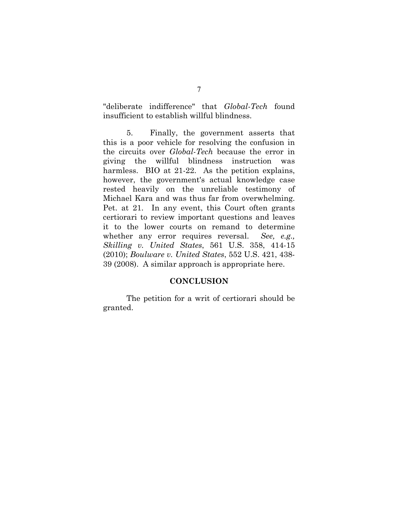"deliberate indifference" that *Global-Tech* found insufficient to establish willful blindness.

5. Finally, the government asserts that this is a poor vehicle for resolving the confusion in the circuits over *Global-Tech* because the error in giving the willful blindness instruction was harmless. BIO at 21-22. As the petition explains, however, the government's actual knowledge case rested heavily on the unreliable testimony of Michael Kara and was thus far from overwhelming. Pet. at 21. In any event, this Court often grants certiorari to review important questions and leaves it to the lower courts on remand to determine whether any error requires reversal. *See, e.g., Skilling v. United States*, 561 U.S. 358, 414-15 (2010); *Boulware v. United States*, 552 U.S. 421, 438- 39 (2008). A similar approach is appropriate here.

#### **CONCLUSION**

The petition for a writ of certiorari should be granted.